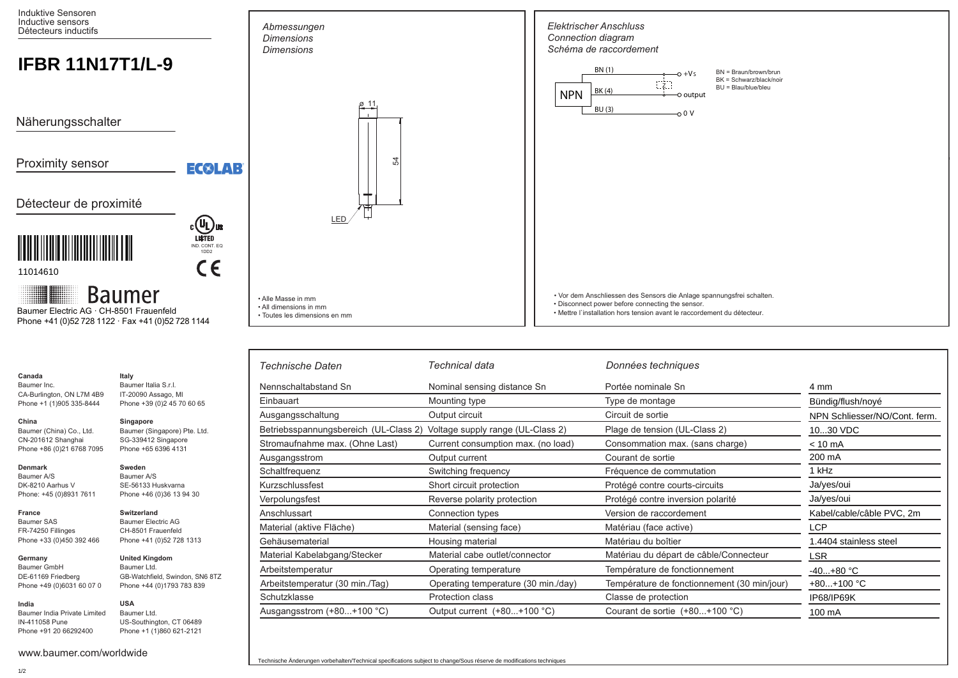Induktive Sensoren Inductive sensors Détecteurs inductifs

# **IFBR 11N17T1/L-9**

Näherungsschalter

Proximity sensor

## Détecteur de proximité



11014610

**Baumer** 

 Phone +41 (0)52 728 1122 · Fax +41 (0)52 728 1144 Baumer Electric AG · CH-8501 Frauenfeld

| Canada                    | Italy                        |
|---------------------------|------------------------------|
| Baumer Inc.               | Baumer Italia S.r.I.         |
| CA-Burlington, ON L7M 4B9 | IT-20090 Assago, MI          |
| Phone +1 (1)905 335-8444  | Phone +39 (0)2 45 70 60 65   |
| China                     | Singapore                    |
| Baumer (China) Co., Ltd.  | Baumer (Singapore) Pte. Ltd. |
| CN-201612 Shanghai        | SG-339412 Singapore          |
| Phone +86 (0)21 6768 7095 | Phone +65 6396 4131          |
| <b>Denmark</b>            | Sweden                       |
| Baumer A/S                | Baumer A/S                   |
| DK-8210 Aarhus V          | SE-56133 Huskvarna           |
| Phone: +45 (0)8931 7611   | Phone +46 (0)36 13 94 30     |

**Switzerland** Baumer Electric AG CH-8501 Frauenfeld Phone +41 (0)52 728 1313

**United Kingdom** Baumer Ltd.

GB-Watchfield, Swindon, SN6 8TZ Phone +44 (0)1793 783 839

#### **France** Baumer SAS FR-74250 Fillinges Phone +33 (0)450 392 466

**Germany**  Baumer GmbH DE-61169 Friedberg Phone +49 (0)6031 60 07 0

#### **India** Baumer India Private Limited IN-411058 Pune Phone +91 20 66292400 **USA** Baumer Ltd. US-Southington, CT 06489 Phone +1 (1)860 621-2121

www.baumer.com/worldwide



• Mettre l`installation hors tension avant le raccordement du détecteur.

| Technische Daten                      | Technical data                      | Données techniques                          |                               |
|---------------------------------------|-------------------------------------|---------------------------------------------|-------------------------------|
| Nennschaltabstand Sn                  | Nominal sensing distance Sn         | Portée nominale Sn                          | 4 mm                          |
| Einbauart                             | Mounting type                       | Type de montage                             | Bündig/flush/noyé             |
| Ausgangsschaltung                     | Output circuit                      | Circuit de sortie                           | NPN Schliesser/NO/Cont. ferm. |
| Betriebsspannungsbereich (UL-Class 2) | Voltage supply range (UL-Class 2)   | Plage de tension (UL-Class 2)               | 1030 VDC                      |
| Stromaufnahme max. (Ohne Last)        | Current consumption max. (no load)  | Consommation max. (sans charge)             | $< 10 \text{ mA}$             |
| Ausgangsstrom                         | Output current                      | Courant de sortie                           | 200 mA                        |
| Schaltfrequenz                        | Switching frequency                 | Fréquence de commutation                    | 1 kHz                         |
| Kurzschlussfest                       | Short circuit protection            | Protégé contre courts-circuits              | Ja/yes/oui                    |
| Verpolungsfest                        | Reverse polarity protection         | Protégé contre inversion polarité           | Ja/yes/oui                    |
| Anschlussart                          | Connection types                    | Version de raccordement                     | Kabel/cable/câble PVC, 2m     |
| Material (aktive Fläche)              | Material (sensing face)             | Matériau (face active)                      | LCP                           |
| Gehäusematerial                       | Housing material                    | Matériau du boîtier                         | 1.4404 stainless steel        |
| Material Kabelabgang/Stecker          | Material cabe outlet/connector      | Matériau du départ de câble/Connecteur      | <b>LSR</b>                    |
| Arbeitstemperatur                     | Operating temperature               | Température de fonctionnement               | $-40+80 °C$                   |
| Arbeitstemperatur (30 min./Tag)       | Operating temperature (30 min./day) | Température de fonctionnement (30 min/jour) | $+80+100$ °C                  |
| Schutzklasse                          | <b>Protection class</b>             | Classe de protection                        | IP68/IP69K                    |
| Ausgangsstrom $(+80+100$ °C)          | Output current (+80+100 °C)         | Courant de sortie $(+80+100$ °C)            | 100 mA                        |

• Toutes les dimensions en mm